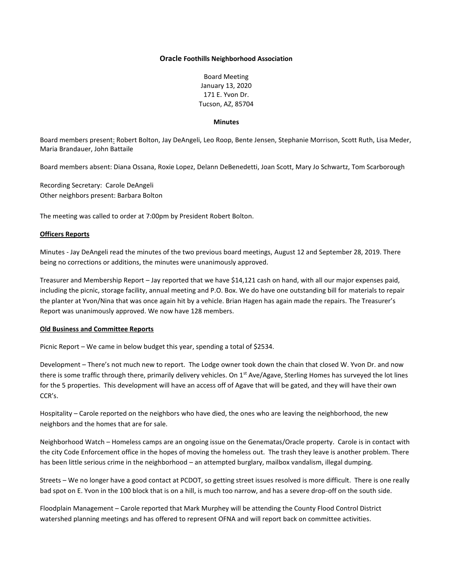## **Oracle Foothills Neighborhood Association**

Board Meeting January 13, 2020 171 E. Yvon Dr. Tucson, AZ, 85704

#### **Minutes**

Board members present: Robert Bolton, Jay DeAngeli, Leo Roop, Bente Jensen, Stephanie Morrison, Scott Ruth, Lisa Meder, Maria Brandauer, John Battaile

Board members absent: Diana Ossana, Roxie Lopez, Delann DeBenedetti, Joan Scott, Mary Jo Schwartz, Tom Scarborough

Recording Secretary: Carole DeAngeli Other neighbors present: Barbara Bolton

The meeting was called to order at 7:00pm by President Robert Bolton.

# **Officers Reports**

Minutes - Jay DeAngeli read the minutes of the two previous board meetings, August 12 and September 28, 2019. There being no corrections or additions, the minutes were unanimously approved.

Treasurer and Membership Report – Jay reported that we have \$14,121 cash on hand, with all our major expenses paid, including the picnic, storage facility, annual meeting and P.O. Box. We do have one outstanding bill for materials to repair the planter at Yvon/Nina that was once again hit by a vehicle. Brian Hagen has again made the repairs. The Treasurer's Report was unanimously approved. We now have 128 members.

## **Old Business and Committee Reports**

Picnic Report – We came in below budget this year, spending a total of \$2534.

Development – There's not much new to report. The Lodge owner took down the chain that closed W. Yvon Dr. and now there is some traffic through there, primarily delivery vehicles. On 1<sup>st</sup> Ave/Agave, Sterling Homes has surveyed the lot lines for the 5 properties. This development will have an access off of Agave that will be gated, and they will have their own CCR's.

Hospitality – Carole reported on the neighbors who have died, the ones who are leaving the neighborhood, the new neighbors and the homes that are for sale.

Neighborhood Watch – Homeless camps are an ongoing issue on the Genematas/Oracle property. Carole is in contact with the city Code Enforcement office in the hopes of moving the homeless out. The trash they leave is another problem. There has been little serious crime in the neighborhood – an attempted burglary, mailbox vandalism, illegal dumping.

Streets – We no longer have a good contact at PCDOT, so getting street issues resolved is more difficult. There is one really bad spot on E. Yvon in the 100 block that is on a hill, is much too narrow, and has a severe drop-off on the south side.

Floodplain Management – Carole reported that Mark Murphey will be attending the County Flood Control District watershed planning meetings and has offered to represent OFNA and will report back on committee activities.